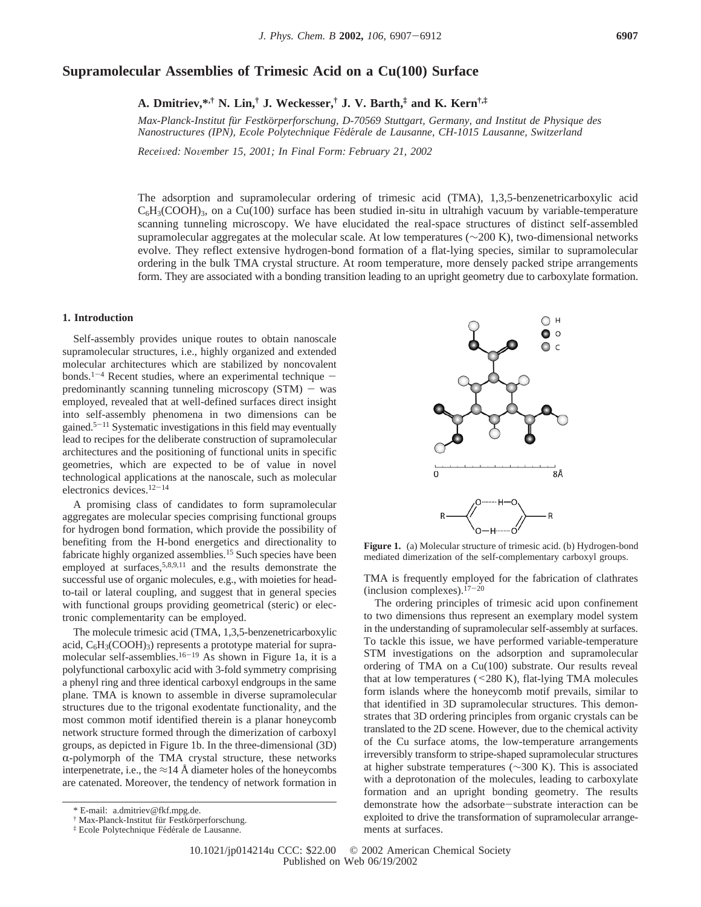# **Supramolecular Assemblies of Trimesic Acid on a Cu(100) Surface**

**A. Dmitriev,\*,† N. Lin,† J. Weckesser,† J. V. Barth,‡ and K. Kern†,‡**

*Max-Planck-Institut fu*¨*r Festko*¨*rperforschung, D-70569 Stuttgart, Germany, and Institut de Physique des Nanostructures (IPN), Ecole Polytechnique Fe*´*de*´*rale de Lausanne, CH-1015 Lausanne, Switzerland*

*Recei*V*ed: No*V*ember 15, 2001; In Final Form: February 21, 2002*

The adsorption and supramolecular ordering of trimesic acid (TMA), 1,3,5-benzenetricarboxylic acid  $C_6H_3(COOH)_3$ , on a Cu(100) surface has been studied in-situ in ultrahigh vacuum by variable-temperature scanning tunneling microscopy. We have elucidated the real-space structures of distinct self-assembled supramolecular aggregates at the molecular scale. At low temperatures (∼200 K), two-dimensional networks evolve. They reflect extensive hydrogen-bond formation of a flat-lying species, similar to supramolecular ordering in the bulk TMA crystal structure. At room temperature, more densely packed stripe arrangements form. They are associated with a bonding transition leading to an upright geometry due to carboxylate formation.

## **1. Introduction**

Self-assembly provides unique routes to obtain nanoscale supramolecular structures, i.e., highly organized and extended molecular architectures which are stabilized by noncovalent bonds.<sup>1-4</sup> Recent studies, where an experimental technique  $$ predominantly scanning tunneling microscopy  $(STM)$  - was employed, revealed that at well-defined surfaces direct insight into self-assembly phenomena in two dimensions can be gained.<sup>5-11</sup> Systematic investigations in this field may eventually lead to recipes for the deliberate construction of supramolecular architectures and the positioning of functional units in specific geometries, which are expected to be of value in novel technological applications at the nanoscale, such as molecular electronics devices.12-<sup>14</sup>

A promising class of candidates to form supramolecular aggregates are molecular species comprising functional groups for hydrogen bond formation, which provide the possibility of benefiting from the H-bond energetics and directionality to fabricate highly organized assemblies.<sup>15</sup> Such species have been employed at surfaces,<sup>5,8,9,11</sup> and the results demonstrate the successful use of organic molecules, e.g., with moieties for headto-tail or lateral coupling, and suggest that in general species with functional groups providing geometrical (steric) or electronic complementarity can be employed.

The molecule trimesic acid (TMA, 1,3,5-benzenetricarboxylic acid,  $C_6H_3(COOH)_3$ ) represents a prototype material for supramolecular self-assemblies.<sup>16-19</sup> As shown in Figure 1a, it is a polyfunctional carboxylic acid with 3-fold symmetry comprising a phenyl ring and three identical carboxyl endgroups in the same plane. TMA is known to assemble in diverse supramolecular structures due to the trigonal exodentate functionality, and the most common motif identified therein is a planar honeycomb network structure formed through the dimerization of carboxyl groups, as depicted in Figure 1b. In the three-dimensional (3D)  $\alpha$ -polymorph of the TMA crystal structure, these networks interpenetrate, i.e., the  $\approx$ 14 Å diameter holes of the honeycombs are catenated. Moreover, the tendency of network formation in



**Figure 1.** (a) Molecular structure of trimesic acid. (b) Hydrogen-bond mediated dimerization of the self-complementary carboxyl groups.

TMA is frequently employed for the fabrication of clathrates (inclusion complexes).<sup> $17-20$ </sup>

The ordering principles of trimesic acid upon confinement to two dimensions thus represent an exemplary model system in the understanding of supramolecular self-assembly at surfaces. To tackle this issue, we have performed variable-temperature STM investigations on the adsorption and supramolecular ordering of TMA on a Cu(100) substrate. Our results reveal that at low temperatures (<280 K), flat-lying TMA molecules form islands where the honeycomb motif prevails, similar to that identified in 3D supramolecular structures. This demonstrates that 3D ordering principles from organic crystals can be translated to the 2D scene. However, due to the chemical activity of the Cu surface atoms, the low-temperature arrangements irreversibly transform to stripe-shaped supramolecular structures at higher substrate temperatures (∼300 K). This is associated with a deprotonation of the molecules, leading to carboxylate formation and an upright bonding geometry. The results demonstrate how the adsorbate-substrate interaction can be exploited to drive the transformation of supramolecular arrangements at surfaces.

<sup>\*</sup> E-mail: a.dmitriev@fkf.mpg.de.

<sup>&</sup>lt;sup>†</sup> Max-Planck-Institut für Festkörperforschung.

 $*$  Ecole Polytechnique Fédérale de Lausanne.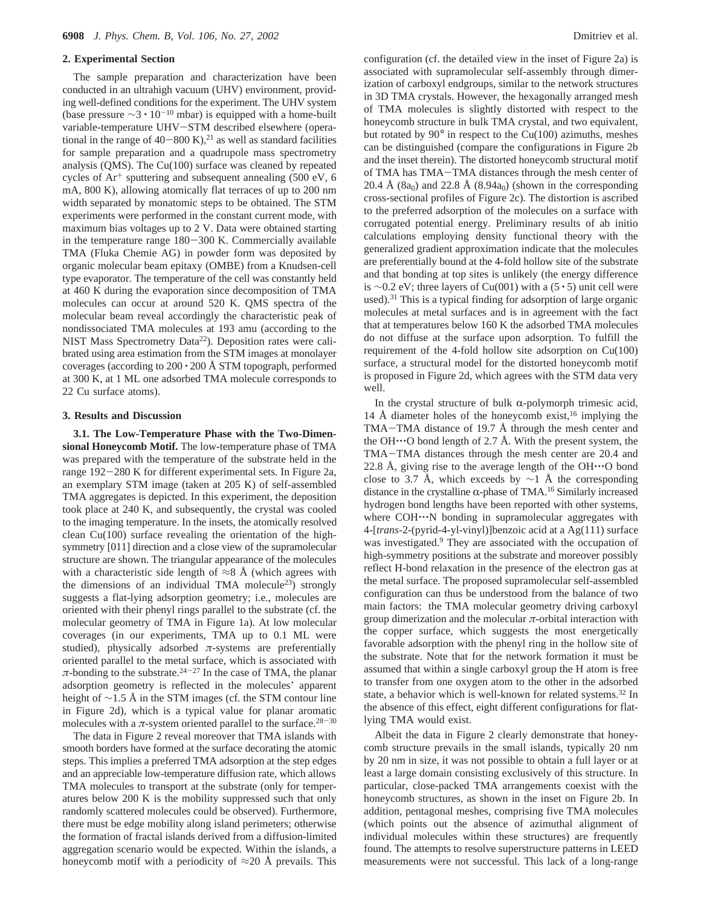#### **2. Experimental Section**

The sample preparation and characterization have been conducted in an ultrahigh vacuum (UHV) environment, providing well-defined conditions for the experiment. The UHV system (base pressure  $\sim$ 3 · 10<sup>-10</sup> mbar) is equipped with a home-built variable-temperature UHV-STM described elsewhere (operational in the range of  $40-800$  K),<sup>21</sup> as well as standard facilities for sample preparation and a quadrupole mass spectrometry analysis (QMS). The Cu(100) surface was cleaned by repeated cycles of  $Ar^+$  sputtering and subsequent annealing (500 eV, 6) mA, 800 K), allowing atomically flat terraces of up to 200 nm width separated by monatomic steps to be obtained. The STM experiments were performed in the constant current mode, with maximum bias voltages up to 2 V. Data were obtained starting in the temperature range 180-300 K. Commercially available TMA (Fluka Chemie AG) in powder form was deposited by organic molecular beam epitaxy (OMBE) from a Knudsen-cell type evaporator. The temperature of the cell was constantly held at 460 K during the evaporation since decomposition of TMA molecules can occur at around 520 K. QMS spectra of the molecular beam reveal accordingly the characteristic peak of nondissociated TMA molecules at 193 amu (according to the NIST Mass Spectrometry Data<sup>22</sup>). Deposition rates were calibrated using area estimation from the STM images at monolayer coverages (according to  $200 \cdot 200$  Å STM topograph, performed at 300 K, at 1 ML one adsorbed TMA molecule corresponds to 22 Cu surface atoms).

## **3. Results and Discussion**

**3.1. The Low-Temperature Phase with the Two-Dimensional Honeycomb Motif.** The low-temperature phase of TMA was prepared with the temperature of the substrate held in the range 192-280 K for different experimental sets. In Figure 2a, an exemplary STM image (taken at 205 K) of self-assembled TMA aggregates is depicted. In this experiment, the deposition took place at 240 K, and subsequently, the crystal was cooled to the imaging temperature. In the insets, the atomically resolved clean  $Cu(100)$  surface revealing the orientation of the highsymmetry [011] direction and a close view of the supramolecular structure are shown. The triangular appearance of the molecules with a characteristic side length of  $\approx 8$  Å (which agrees with the dimensions of an individual TMA molecule<sup>23</sup>) strongly suggests a flat-lying adsorption geometry; i.e., molecules are oriented with their phenyl rings parallel to the substrate (cf. the molecular geometry of TMA in Figure 1a). At low molecular coverages (in our experiments, TMA up to 0.1 ML were studied), physically adsorbed  $\pi$ -systems are preferentially oriented parallel to the metal surface, which is associated with  $\pi$ -bonding to the substrate.<sup>24-27</sup> In the case of TMA, the planar adsorption geometry is reflected in the molecules' apparent height of  $\sim$ 1.5 Å in the STM images (cf. the STM contour line in Figure 2d), which is a typical value for planar aromatic molecules with a  $\pi$ -system oriented parallel to the surface.<sup>28-30</sup>

The data in Figure 2 reveal moreover that TMA islands with smooth borders have formed at the surface decorating the atomic steps. This implies a preferred TMA adsorption at the step edges and an appreciable low-temperature diffusion rate, which allows TMA molecules to transport at the substrate (only for temperatures below 200 K is the mobility suppressed such that only randomly scattered molecules could be observed). Furthermore, there must be edge mobility along island perimeters; otherwise the formation of fractal islands derived from a diffusion-limited aggregation scenario would be expected. Within the islands, a honeycomb motif with a periodicity of  $\approx$ 20 Å prevails. This

configuration (cf. the detailed view in the inset of Figure 2a) is associated with supramolecular self-assembly through dimerization of carboxyl endgroups, similar to the network structures in 3D TMA crystals. However, the hexagonally arranged mesh of TMA molecules is slightly distorted with respect to the honeycomb structure in bulk TMA crystal, and two equivalent, but rotated by  $90^\circ$  in respect to the Cu(100) azimuths, meshes can be distinguished (compare the configurations in Figure 2b and the inset therein). The distorted honeycomb structural motif of TMA has TMA-TMA distances through the mesh center of 20.4 Å  $(8a<sub>0</sub>)$  and 22.8 Å  $(8.94a<sub>0</sub>)$  (shown in the corresponding cross-sectional profiles of Figure 2c). The distortion is ascribed to the preferred adsorption of the molecules on a surface with corrugated potential energy. Preliminary results of ab initio calculations employing density functional theory with the generalized gradient approximation indicate that the molecules are preferentially bound at the 4-fold hollow site of the substrate and that bonding at top sites is unlikely (the energy difference is ∼0.2 eV; three layers of Cu(001) with a  $(5 \cdot 5)$  unit cell were used).31 This is a typical finding for adsorption of large organic molecules at metal surfaces and is in agreement with the fact that at temperatures below 160 K the adsorbed TMA molecules do not diffuse at the surface upon adsorption. To fulfill the requirement of the 4-fold hollow site adsorption on Cu(100) surface, a structural model for the distorted honeycomb motif is proposed in Figure 2d, which agrees with the STM data very well.

In the crystal structure of bulk  $\alpha$ -polymorph trimesic acid, 14 Å diameter holes of the honeycomb exist, $16$  implying the TMA-TMA distance of 19.7 Å through the mesh center and the OH $\cdots$ O bond length of 2.7 Å. With the present system, the TMA-TMA distances through the mesh center are 20.4 and 22.8 Å, giving rise to the average length of the OH $\cdots$ O bond close to 3.7 Å, which exceeds by  $\sim$ 1 Å the corresponding distance in the crystalline  $\alpha$ -phase of TMA.<sup>16</sup> Similarly increased hydrogen bond lengths have been reported with other systems, where COH···N bonding in supramolecular aggregates with 4-[*trans*-2-(pyrid-4-yl-vinyl)]benzoic acid at a Ag(111) surface was investigated.<sup>9</sup> They are associated with the occupation of high-symmetry positions at the substrate and moreover possibly reflect H-bond relaxation in the presence of the electron gas at the metal surface. The proposed supramolecular self-assembled configuration can thus be understood from the balance of two main factors: the TMA molecular geometry driving carboxyl group dimerization and the molecular *π*-orbital interaction with the copper surface, which suggests the most energetically favorable adsorption with the phenyl ring in the hollow site of the substrate. Note that for the network formation it must be assumed that within a single carboxyl group the H atom is free to transfer from one oxygen atom to the other in the adsorbed state, a behavior which is well-known for related systems.<sup>32</sup> In the absence of this effect, eight different configurations for flatlying TMA would exist.

Albeit the data in Figure 2 clearly demonstrate that honeycomb structure prevails in the small islands, typically 20 nm by 20 nm in size, it was not possible to obtain a full layer or at least a large domain consisting exclusively of this structure. In particular, close-packed TMA arrangements coexist with the honeycomb structures, as shown in the inset on Figure 2b. In addition, pentagonal meshes, comprising five TMA molecules (which points out the absence of azimuthal alignment of individual molecules within these structures) are frequently found. The attempts to resolve superstructure patterns in LEED measurements were not successful. This lack of a long-range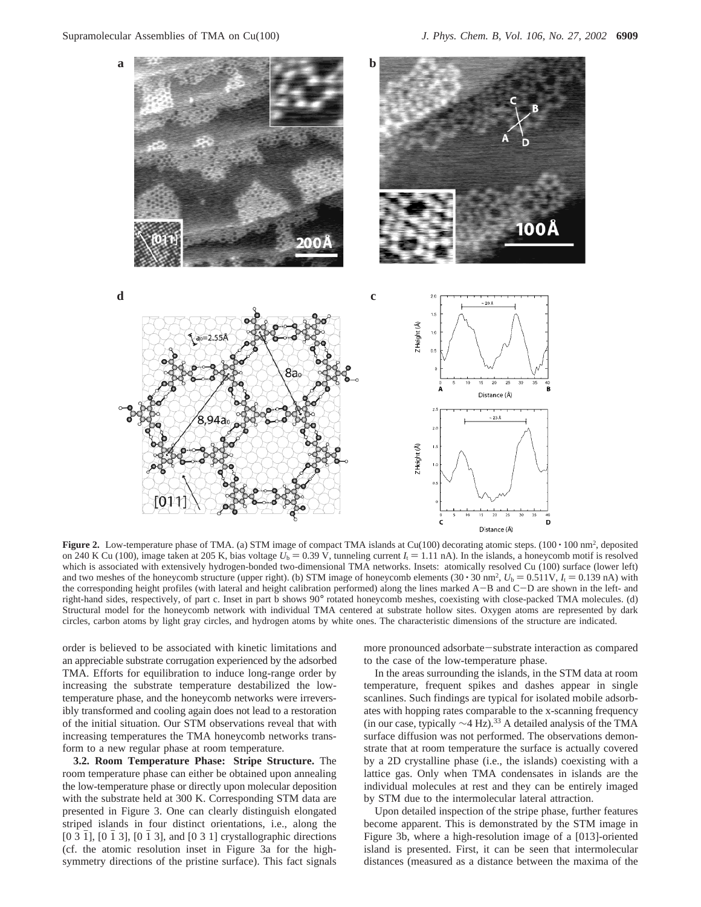

**Figure 2.** Low-temperature phase of TMA. (a) STM image of compact TMA islands at Cu(100) decorating atomic steps. (100 · 100 nm<sup>2</sup>, deposited on 240 K Cu (100), image taken at 205 K, bias voltage  $U_b = 0.39$  V, tunneling current  $I_t = 1.11$  nA). In the islands, a honeycomb motif is resolved which is associated with extensively hydrogen-bonded two-dimensional TMA networks. Insets: atomically resolved Cu (100) surface (lower left) and two meshes of the honeycomb structure (upper right). (b) STM image of honeycomb elements  $(30 \cdot 30 \text{ nm}^2, U_b = 0.511V, I_t = 0.139 \text{ nA})$  with<br>the corresponding height profiles (with lateral and height calibration perform the corresponding height profiles (with lateral and height calibration performed) along the lines marked A-B and C-D are shown in the left- and right-hand sides, respectively, of part c. Inset in part b shows 90° rotated honeycomb meshes, coexisting with close-packed TMA molecules. (d) Structural model for the honeycomb network with individual TMA centered at substrate hollow sites. Oxygen atoms are represented by dark circles, carbon atoms by light gray circles, and hydrogen atoms by white ones. The characteristic dimensions of the structure are indicated.

order is believed to be associated with kinetic limitations and an appreciable substrate corrugation experienced by the adsorbed TMA. Efforts for equilibration to induce long-range order by increasing the substrate temperature destabilized the lowtemperature phase, and the honeycomb networks were irreversibly transformed and cooling again does not lead to a restoration of the initial situation. Our STM observations reveal that with increasing temperatures the TMA honeycomb networks transform to a new regular phase at room temperature.

**3.2. Room Temperature Phase: Stripe Structure.** The room temperature phase can either be obtained upon annealing the low-temperature phase or directly upon molecular deposition with the substrate held at 300 K. Corresponding STM data are presented in Figure 3. One can clearly distinguish elongated striped islands in four distinct orientations, i.e., along the [0 3 1], [0 1 3], [0 1 3], and [0 3 1] crystallographic directions (cf. the atomic resolution inset in Figure 3a for the highsymmetry directions of the pristine surface). This fact signals

more pronounced adsorbate-substrate interaction as compared to the case of the low-temperature phase.

In the areas surrounding the islands, in the STM data at room temperature, frequent spikes and dashes appear in single scanlines. Such findings are typical for isolated mobile adsorbates with hopping rates comparable to the x-scanning frequency (in our case, typically  $\sim$ 4 Hz).<sup>33</sup> A detailed analysis of the TMA surface diffusion was not performed. The observations demonstrate that at room temperature the surface is actually covered by a 2D crystalline phase (i.e., the islands) coexisting with a lattice gas. Only when TMA condensates in islands are the individual molecules at rest and they can be entirely imaged by STM due to the intermolecular lateral attraction.

Upon detailed inspection of the stripe phase, further features become apparent. This is demonstrated by the STM image in Figure 3b, where a high-resolution image of a [013]-oriented island is presented. First, it can be seen that intermolecular distances (measured as a distance between the maxima of the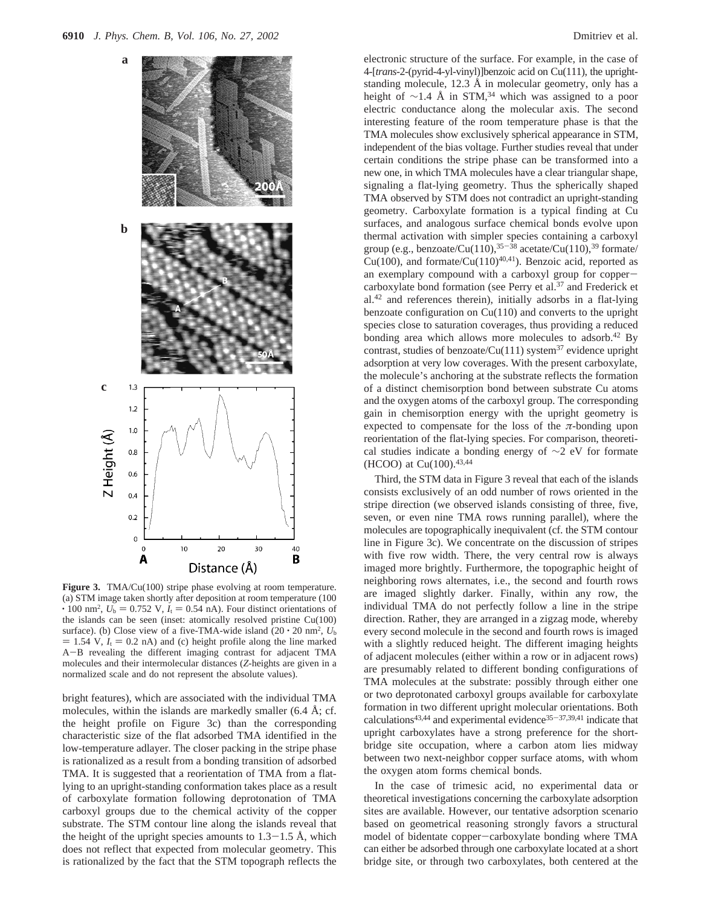

**Figure 3.** TMA/Cu(100) stripe phase evolving at room temperature. (a) STM image taken shortly after deposition at room temperature (100  $\cdot$  100 nm<sup>2</sup>,  $U_b = 0.752$  V,  $I_t = 0.54$  nA). Four distinct orientations of the islands can be seen (inset: atomically resolved pristine Cu(100) surface). (b) Close view of a five-TMA-wide island  $(20 \cdot 20 \text{ nm}^2, U_b)$  $= 1.54$  V,  $I_t = 0.2$  nA) and (c) height profile along the line marked <sup>A</sup>-B revealing the different imaging contrast for adjacent TMA molecules and their intermolecular distances (*Z*-heights are given in a normalized scale and do not represent the absolute values).

bright features), which are associated with the individual TMA molecules, within the islands are markedly smaller (6.4 Å; cf. the height profile on Figure 3c) than the corresponding characteristic size of the flat adsorbed TMA identified in the low-temperature adlayer. The closer packing in the stripe phase is rationalized as a result from a bonding transition of adsorbed TMA. It is suggested that a reorientation of TMA from a flatlying to an upright-standing conformation takes place as a result of carboxylate formation following deprotonation of TMA carboxyl groups due to the chemical activity of the copper substrate. The STM contour line along the islands reveal that the height of the upright species amounts to  $1.3-1.5$  Å, which does not reflect that expected from molecular geometry. This is rationalized by the fact that the STM topograph reflects the

electronic structure of the surface. For example, in the case of 4-[*trans*-2-(pyrid-4-yl-vinyl)]benzoic acid on Cu(111), the uprightstanding molecule, 12.3 Å in molecular geometry, only has a height of  $\sim$ 1.4 Å in STM,<sup>34</sup> which was assigned to a poor electric conductance along the molecular axis. The second interesting feature of the room temperature phase is that the TMA molecules show exclusively spherical appearance in STM, independent of the bias voltage. Further studies reveal that under certain conditions the stripe phase can be transformed into a new one, in which TMA molecules have a clear triangular shape, signaling a flat-lying geometry. Thus the spherically shaped TMA observed by STM does not contradict an upright-standing geometry. Carboxylate formation is a typical finding at Cu surfaces, and analogous surface chemical bonds evolve upon thermal activation with simpler species containing a carboxyl group (e.g., benzoate/Cu(110),  $35-38$  acetate/Cu(110),  $39$  formate/ Cu(100), and formate/Cu(110)<sup>40,41</sup>). Benzoic acid, reported as an exemplary compound with a carboxyl group for coppercarboxylate bond formation (see Perry et al.37 and Frederick et al.42 and references therein), initially adsorbs in a flat-lying benzoate configuration on Cu(110) and converts to the upright species close to saturation coverages, thus providing a reduced bonding area which allows more molecules to adsorb.42 By contrast, studies of benzoate/Cu(111) system<sup>37</sup> evidence upright adsorption at very low coverages. With the present carboxylate, the molecule's anchoring at the substrate reflects the formation of a distinct chemisorption bond between substrate Cu atoms and the oxygen atoms of the carboxyl group. The corresponding gain in chemisorption energy with the upright geometry is expected to compensate for the loss of the  $\pi$ -bonding upon reorientation of the flat-lying species. For comparison, theoretical studies indicate a bonding energy of ∼2 eV for formate (HCOO) at  $Cu(100).^{43,44}$ 

Third, the STM data in Figure 3 reveal that each of the islands consists exclusively of an odd number of rows oriented in the stripe direction (we observed islands consisting of three, five, seven, or even nine TMA rows running parallel), where the molecules are topographically inequivalent (cf. the STM contour line in Figure 3c). We concentrate on the discussion of stripes with five row width. There, the very central row is always imaged more brightly. Furthermore, the topographic height of neighboring rows alternates, i.e., the second and fourth rows are imaged slightly darker. Finally, within any row, the individual TMA do not perfectly follow a line in the stripe direction. Rather, they are arranged in a zigzag mode, whereby every second molecule in the second and fourth rows is imaged with a slightly reduced height. The different imaging heights of adjacent molecules (either within a row or in adjacent rows) are presumably related to different bonding configurations of TMA molecules at the substrate: possibly through either one or two deprotonated carboxyl groups available for carboxylate formation in two different upright molecular orientations. Both calculations<sup>43,44</sup> and experimental evidence<sup>35-37,39,41</sup> indicate that upright carboxylates have a strong preference for the shortbridge site occupation, where a carbon atom lies midway between two next-neighbor copper surface atoms, with whom the oxygen atom forms chemical bonds.

In the case of trimesic acid, no experimental data or theoretical investigations concerning the carboxylate adsorption sites are available. However, our tentative adsorption scenario based on geometrical reasoning strongly favors a structural model of bidentate copper-carboxylate bonding where TMA can either be adsorbed through one carboxylate located at a short bridge site, or through two carboxylates, both centered at the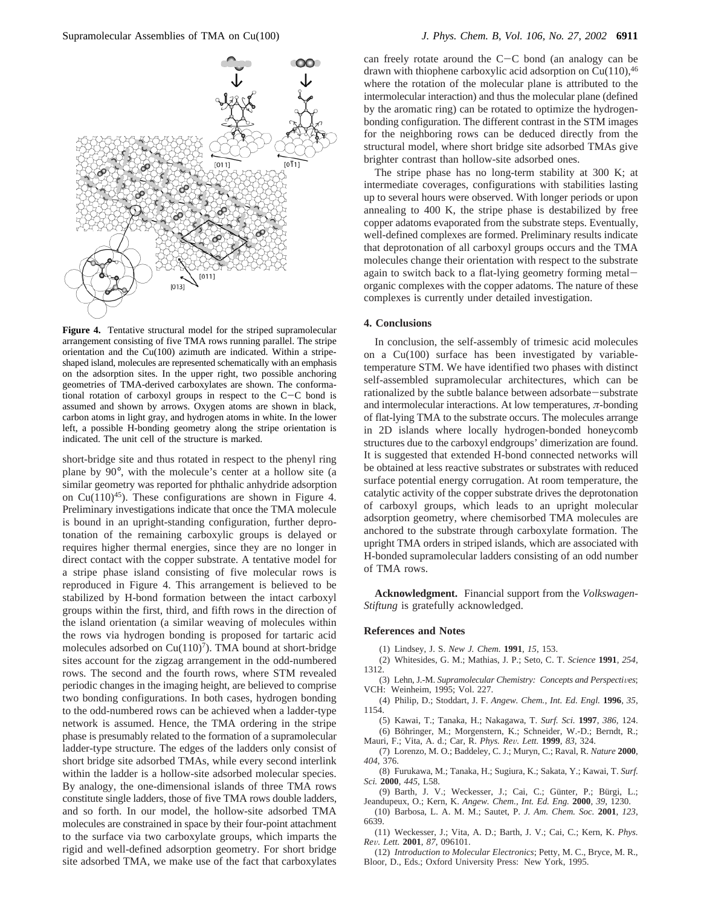

**Figure 4.** Tentative structural model for the striped supramolecular arrangement consisting of five TMA rows running parallel. The stripe orientation and the Cu(100) azimuth are indicated. Within a stripeshaped island, molecules are represented schematically with an emphasis on the adsorption sites. In the upper right, two possible anchoring geometries of TMA-derived carboxylates are shown. The conformational rotation of carboxyl groups in respect to the C-C bond is assumed and shown by arrows. Oxygen atoms are shown in black, carbon atoms in light gray, and hydrogen atoms in white. In the lower left, a possible H-bonding geometry along the stripe orientation is indicated. The unit cell of the structure is marked.

short-bridge site and thus rotated in respect to the phenyl ring plane by 90°, with the molecule's center at a hollow site (a similar geometry was reported for phthalic anhydride adsorption on Cu(110)<sup>45</sup>). These configurations are shown in Figure 4. Preliminary investigations indicate that once the TMA molecule is bound in an upright-standing configuration, further deprotonation of the remaining carboxylic groups is delayed or requires higher thermal energies, since they are no longer in direct contact with the copper substrate. A tentative model for a stripe phase island consisting of five molecular rows is reproduced in Figure 4. This arrangement is believed to be stabilized by H-bond formation between the intact carboxyl groups within the first, third, and fifth rows in the direction of the island orientation (a similar weaving of molecules within the rows via hydrogen bonding is proposed for tartaric acid molecules adsorbed on  $Cu(110)<sup>7</sup>$ . TMA bound at short-bridge sites account for the zigzag arrangement in the odd-numbered rows. The second and the fourth rows, where STM revealed periodic changes in the imaging height, are believed to comprise two bonding configurations. In both cases, hydrogen bonding to the odd-numbered rows can be achieved when a ladder-type network is assumed. Hence, the TMA ordering in the stripe phase is presumably related to the formation of a supramolecular ladder-type structure. The edges of the ladders only consist of short bridge site adsorbed TMAs, while every second interlink within the ladder is a hollow-site adsorbed molecular species. By analogy, the one-dimensional islands of three TMA rows constitute single ladders, those of five TMA rows double ladders, and so forth. In our model, the hollow-site adsorbed TMA molecules are constrained in space by their four-point attachment to the surface via two carboxylate groups, which imparts the rigid and well-defined adsorption geometry. For short bridge site adsorbed TMA, we make use of the fact that carboxylates

can freely rotate around the  $C-C$  bond (an analogy can be drawn with thiophene carboxylic acid adsorption on  $Cu(110),^{46}$ where the rotation of the molecular plane is attributed to the intermolecular interaction) and thus the molecular plane (defined by the aromatic ring) can be rotated to optimize the hydrogenbonding configuration. The different contrast in the STM images for the neighboring rows can be deduced directly from the structural model, where short bridge site adsorbed TMAs give brighter contrast than hollow-site adsorbed ones.

The stripe phase has no long-term stability at 300 K; at intermediate coverages, configurations with stabilities lasting up to several hours were observed. With longer periods or upon annealing to 400 K, the stripe phase is destabilized by free copper adatoms evaporated from the substrate steps. Eventually, well-defined complexes are formed. Preliminary results indicate that deprotonation of all carboxyl groups occurs and the TMA molecules change their orientation with respect to the substrate again to switch back to a flat-lying geometry forming metalorganic complexes with the copper adatoms. The nature of these complexes is currently under detailed investigation.

## **4. Conclusions**

In conclusion, the self-assembly of trimesic acid molecules on a Cu(100) surface has been investigated by variabletemperature STM. We have identified two phases with distinct self-assembled supramolecular architectures, which can be rationalized by the subtle balance between adsorbate-substrate and intermolecular interactions. At low temperatures, *π*-bonding of flat-lying TMA to the substrate occurs. The molecules arrange in 2D islands where locally hydrogen-bonded honeycomb structures due to the carboxyl endgroups' dimerization are found. It is suggested that extended H-bond connected networks will be obtained at less reactive substrates or substrates with reduced surface potential energy corrugation. At room temperature, the catalytic activity of the copper substrate drives the deprotonation of carboxyl groups, which leads to an upright molecular adsorption geometry, where chemisorbed TMA molecules are anchored to the substrate through carboxylate formation. The upright TMA orders in striped islands, which are associated with H-bonded supramolecular ladders consisting of an odd number of TMA rows.

**Acknowledgment.** Financial support from the *Volkswagen-Stiftung* is gratefully acknowledged.

#### **References and Notes**

(1) Lindsey, J. S. *New J. Chem.* **1991**, *15*, 153.

(2) Whitesides, G. M.; Mathias, J. P.; Seto, C. T. *Science* **1991**, *254*, 1312.

(3) Lehn, J.-M. *Supramolecular Chemistry: Concepts and Perspectives*; VCH: Weinheim, 1995; Vol. 227.

(4) Philip, D.; Stoddart, J. F. *Angew. Chem., Int. Ed. Engl.* **1996**, *35*, 1154.

(5) Kawai, T.; Tanaka, H.; Nakagawa, T. *Surf. Sci.* **1997**, *386*, 124. (6) Böhringer, M.; Morgenstern, K.; Schneider, W.-D.; Berndt, R.;

Mauri, F.; Vita, A. d.; Car, R. *Phys. Re*V*. Lett.* **<sup>1999</sup>**, *<sup>83</sup>*, 324.

(7) Lorenzo, M. O.; Baddeley, C. J.; Muryn, C.; Raval, R. *Nature* **2000**, *404*, 376.

(8) Furukawa, M.; Tanaka, H.; Sugiura, K.; Sakata, Y.; Kawai, T. *Surf. Sci.* **2000**, *445*, L58.

(9) Barth, J. V.; Weckesser, J.; Cai, C.; Günter, P.; Bürgi, L.; Jeandupeux, O.; Kern, K. *Angew. Chem., Int. Ed. Eng.* **2000**, *39*, 1230.

(10) Barbosa, L. A. M. M.; Sautet, P. *J. Am. Chem. Soc.* **2001**, *123*, 6639.

(11) Weckesser, J.; Vita, A. D.; Barth, J. V.; Cai, C.; Kern, K. *Phys. Re*V*. Lett.* **<sup>2001</sup>**, *<sup>87</sup>*, 096101.

(12) *Introduction to Molecular Electronics*; Petty, M. C., Bryce, M. R., Bloor, D., Eds.; Oxford University Press: New York, 1995.